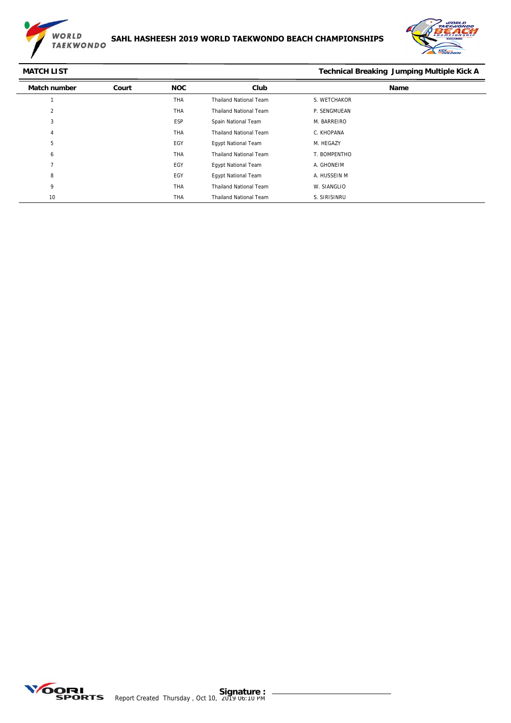



### **MATCH LIST Technical Breaking Jumping Multiple Kick A**

| <b>Match number</b> | Court | <b>NOC</b> | Club                          | Name         |
|---------------------|-------|------------|-------------------------------|--------------|
|                     |       | <b>THA</b> | <b>Thailand National Team</b> | S. WETCHAKOR |
| $\overline{2}$      |       | <b>THA</b> | <b>Thailand National Team</b> | P. SENGMUEAN |
| 3                   |       | ESP        | Spain National Team           | M. BARREIRO  |
| 4                   |       | THA        | <b>Thailand National Team</b> | C. KHOPANA   |
| 5                   |       | EGY        | <b>Egypt National Team</b>    | M. HEGAZY    |
| 6                   |       | THA        | <b>Thailand National Team</b> | T. BOMPENTHO |
| $\mathbf{z}$        |       | EGY        | <b>Egypt National Team</b>    | A. GHONEIM   |
| 8                   |       | EGY        | <b>Egypt National Team</b>    | A. HUSSEIN M |
| 9                   |       | <b>THA</b> | <b>Thailand National Team</b> | W. SIANGLIO  |
| 10                  |       | <b>THA</b> | <b>Thailand National Team</b> | S. SIRISINRU |

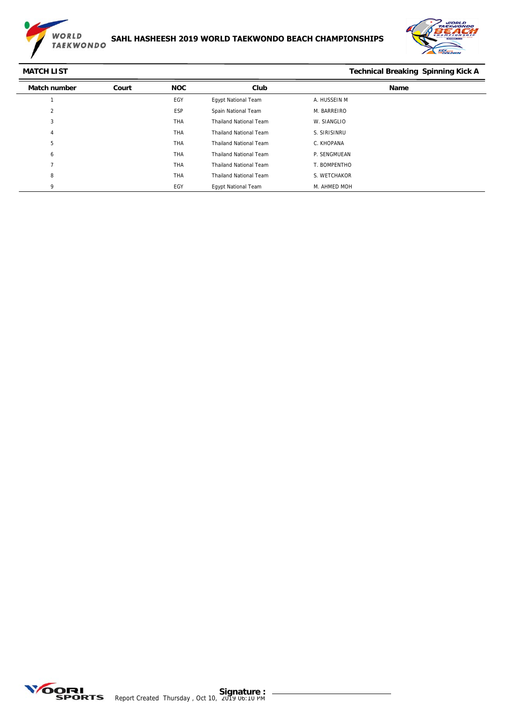

### **SAHL HASHEESH 2019 WORLD TAEKWONDO BEACH CHAMPIONSHIPS**



**MATCH LIST Technical Breaking Spinning Kick A**

| <b>Match number</b> | Court | <b>NOC</b> | Club                          | <b>Name</b>  |  |
|---------------------|-------|------------|-------------------------------|--------------|--|
|                     |       | EGY        | <b>Egypt National Team</b>    | A. HUSSEIN M |  |
| 2                   |       | ESP        | Spain National Team           | M. BARREIRO  |  |
| 3                   |       | <b>THA</b> | <b>Thailand National Team</b> | W. SIANGLIO  |  |
| 4                   |       | THA        | <b>Thailand National Team</b> | S. SIRISINRU |  |
| 5                   |       | <b>THA</b> | <b>Thailand National Team</b> | C. KHOPANA   |  |
| 6                   |       | <b>THA</b> | <b>Thailand National Team</b> | P. SENGMUEAN |  |
|                     |       | <b>THA</b> | <b>Thailand National Team</b> | T. BOMPENTHO |  |
| 8                   |       | <b>THA</b> | <b>Thailand National Team</b> | S. WETCHAKOR |  |
| 9                   |       | EGY        | <b>Egypt National Team</b>    | M. AHMED MOH |  |

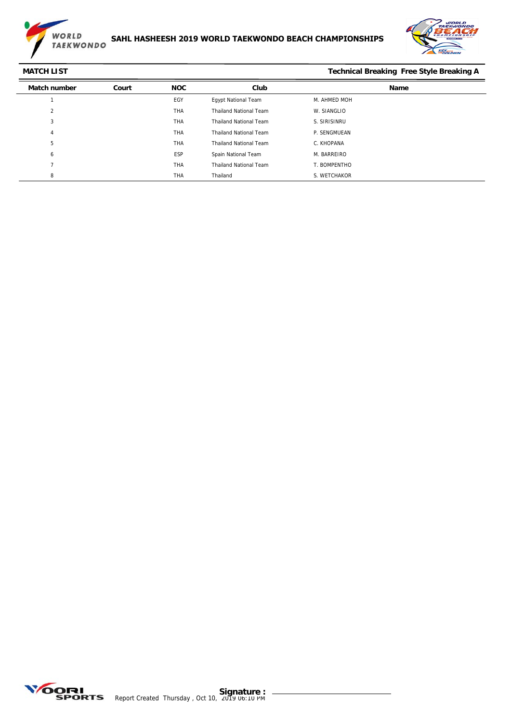



| <b>MATCH LIST</b>   |       |            |                               | <b>Technical Breaking Free Style Breaking A</b> |
|---------------------|-------|------------|-------------------------------|-------------------------------------------------|
| <b>Match number</b> | Court | <b>NOC</b> | Club                          | Name                                            |
|                     |       | EGY        | <b>Egypt National Team</b>    | M. AHMED MOH                                    |
| 2                   |       | <b>THA</b> | <b>Thailand National Team</b> | W. SIANGLIO                                     |
| 3                   |       | <b>THA</b> | <b>Thailand National Team</b> | S. SIRISINRU                                    |
| 4                   |       | <b>THA</b> | <b>Thailand National Team</b> | P. SENGMUEAN                                    |
| 5                   |       | <b>THA</b> | <b>Thailand National Team</b> | C. KHOPANA                                      |
| 6                   |       | <b>ESP</b> | Spain National Team           | M. BARREIRO                                     |
|                     |       | <b>THA</b> | <b>Thailand National Team</b> | T. BOMPENTHO                                    |
| 8                   |       | <b>THA</b> | Thailand                      | S. WETCHAKOR                                    |

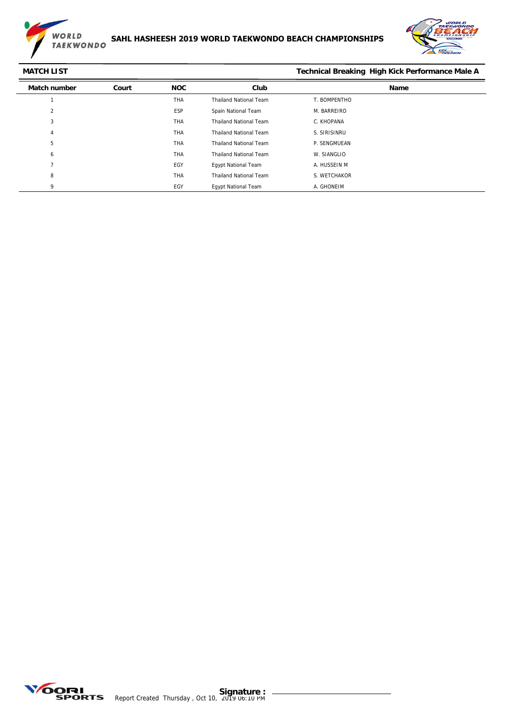



## **MATCH LIST** MATCH LIST **MATCH LIST** MATCH LIST

| <b>Match number</b> | Court | <b>NOC</b> | Club                          | Name         |
|---------------------|-------|------------|-------------------------------|--------------|
|                     |       | <b>THA</b> | <b>Thailand National Team</b> | T. BOMPENTHO |
| 2                   |       | <b>ESP</b> | Spain National Team           | M. BARREIRO  |
| 3                   |       | <b>THA</b> | <b>Thailand National Team</b> | C. KHOPANA   |
| 4                   |       | THA        | <b>Thailand National Team</b> | S. SIRISINRU |
| 5                   |       | <b>THA</b> | <b>Thailand National Team</b> | P. SENGMUEAN |
| 6                   |       | THA        | <b>Thailand National Team</b> | W. SIANGLIO  |
| э,                  |       | EGY        | <b>Egypt National Team</b>    | A. HUSSEIN M |
| 8                   |       | THA        | <b>Thailand National Team</b> | S. WETCHAKOR |
| Q                   |       | EGY        | <b>Egypt National Team</b>    | A. GHONEIM   |